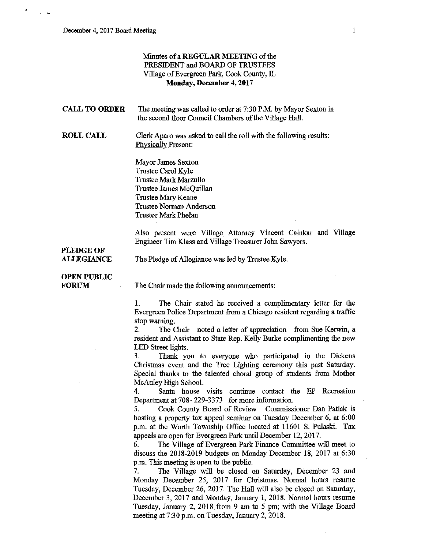## Minutes of a **REGULAR MEETING** of the PRESIDENT and BOARD OF TRUSTEES Village of Evergreen Park, Cook County, IL **Monday, December 4, 2017**

| <b>CALL TO ORDER</b>                  | The meeting was called to order at 7:30 P.M. by Mayor Sexton in<br>the second floor Council Chambers of the Village Hall.                                                                                                                                                                                                                                                                                                                                                                                                                                                                                                       |
|---------------------------------------|---------------------------------------------------------------------------------------------------------------------------------------------------------------------------------------------------------------------------------------------------------------------------------------------------------------------------------------------------------------------------------------------------------------------------------------------------------------------------------------------------------------------------------------------------------------------------------------------------------------------------------|
| <b>ROLL CALL</b>                      | Clerk Aparo was asked to call the roll with the following results:<br><b>Physically Present:</b>                                                                                                                                                                                                                                                                                                                                                                                                                                                                                                                                |
|                                       | Mayor James Sexton<br>Trustee Carol Kyle<br>Trustee Mark Marzullo<br>Trustee James McQuillan<br>Trustee Mary Keane<br><b>Trustee Norman Anderson</b><br><b>Trustee Mark Phelan</b>                                                                                                                                                                                                                                                                                                                                                                                                                                              |
|                                       | Also present were Village Attorney Vincent Cainkar and Village<br>Engineer Tim Klass and Village Treasurer John Sawyers.                                                                                                                                                                                                                                                                                                                                                                                                                                                                                                        |
| <b>PLEDGE OF</b><br><b>ALLEGIANCE</b> | The Pledge of Allegiance was led by Trustee Kyle.                                                                                                                                                                                                                                                                                                                                                                                                                                                                                                                                                                               |
| <b>OPEN PUBLIC</b><br><b>FORUM</b>    | The Chair made the following announcements:                                                                                                                                                                                                                                                                                                                                                                                                                                                                                                                                                                                     |
|                                       | 1.<br>The Chair stated he received a complimentary letter for the<br>Evergreen Police Department from a Chicago resident regarding a traffic<br>stop warning.<br>The Chair noted a letter of appreciation from Sue Kerwin, a<br>2.<br>resident and Assistant to State Rep. Kelly Burke complimenting the new<br>LED Street lights.<br>3.<br>Thank you to everyone who participated in the Dickens<br>Christmas event and the Tree Lighting ceremony this past Saturday.<br>Special thanks to the talented choral group of students from Mother<br>McAuley High School.<br>Santa house visits continue contact the EP Recreation |
|                                       | 4.                                                                                                                                                                                                                                                                                                                                                                                                                                                                                                                                                                                                                              |

Department at 708- 229-3373 for more information. 5. Cook County Board of Review Commissioner Dan Patlak is

hosting a property tax appeal seminar on Tuesday December 6, at 6:00 p.m. at the Worth Township Office located at 11601 S. Pulaski. Tax appeals are open for Evergreen Park until December 12, 2017.

6. The Village of Evergreen Park Finance Committee will meet to discuss the 2018-2019 budgets on Monday December 18, 2017 at 6:30 p.m. This meeting is open to the public.

7. The Village will be closed on Saturday, December 23 and Monday December 25, 2017 for Christmas. Normal hours resume Tuesday, December 26, 2017. The Hall will also be closed on Saturday, December 3, 2017 and Monday, January 1, 2018. Normal hours resume Tuesday, January 2, 2018 from 9 am to 5 pm; with the Village Board meeting at 7:30 p.m. on Tuesday, January 2, 2018.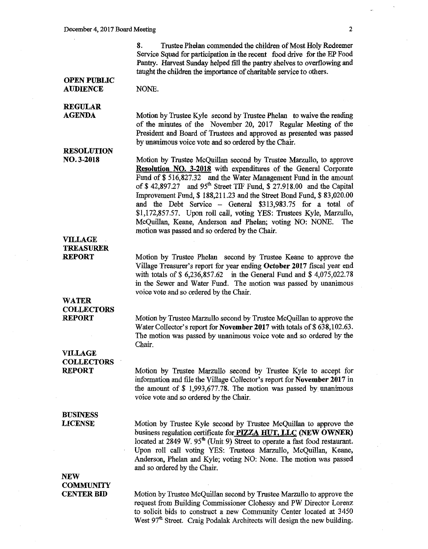8. Trustee Phelan commended the children of Most Holy Redeemer Service Squad for participation in the recent food drive for the EP Food Pantry. Harvest Sunday helped fill the pantry shelves to overflowing and taught the children the importance of charitable service to others.

#### OPEN PUBLIC **AUDIENCE**

NONE.

#### REGULAR AGENDA

Motion by Trustee Kyle second by Trustee Phelan to waive the reading of the minutes of the November 20, 2017 Regular Meeting of the President and Board of Trustees and approved as presented was passed by unanimous voice vote and so ordered by the Chair.

### RESOLUTION N0.3-2018

Motion by Trustee McQuillan second by Trustee Marzullo, to approve Resolution NO. 3-2018 with expenditures of the General Corporate Fund of \$516,827.32 and the Water Management Fund in the amount of\$ 42,897 *27* and 95th Street TIF Fund, \$ 27.918.00 and the Capital Improvement Fund,\$ 188,211.23 and the Street Bond Fund,\$ 83,020.00 and the Debt Service - General \$313,983.75 for a total of \$1,172,857.57. Upon roll call, voting YES: Trustees Kyle, Marzullo, McQuillan, Keane, Anderson and Phelan; voting NO: NONE. The motion was passed and so ordered by the Chair.

## VILLAGE TREASURER REPORT

Motion by Trustee Phelan second by Trustee Keane to approve the Village Treasurer's report for year ending October 2017 fiscal year end with totals of \$ 6,236,857.62 in the General Fund and \$ 4,075,022.78 in the Sewer and Water Fund. The motion was passed by unanimous voice vote and so ordered by the Chair.

# WATER COLLECTORS REPORT

Motion by Trustee Marzullo second by Trustee McQuillan to approve the Water Collector's report for November 2017 with totals of \$638,102.63. The motion was passed by unanimous voice vote and so ordered by the Chair.

## VILLAGE COLLECTORS REPORT

Motion by Trustee Marzullo second by Trustee Kyle to accept for information and file the Village Collector's report for November 2017 in the amount of  $$ 1,993,677.78$ . The motion was passed by unanimous voice vote and so ordered by the Chair.

### BUSINESS LICENSE

Motion by Trustee Kyle second by Trustee McQuillan to approve the business regulation certificate for PIZZA HUT, LLC (NEW OWNER) located at 2849 W. 95<sup>th</sup> (Unit 9) Street to operate a fast food restaurant. Upon roll call voting YES: Trustees Marzullo, McQuillan, Keane, Anderson, Phelan and Kyle; voting NO: None. The motion was passed and so ordered by the Chair.

# NEW **COMMUNITY** CENTER BID

Motion by Trustee McQuillan second by Trustee Marzullo to approve the request from Building Commissioner Clohessy and PW Director Lorenz to solicit bids to construct a new Community Center located at 3450 West 97<sup>th</sup> Street. Craig Podalak Architects will design the new building.